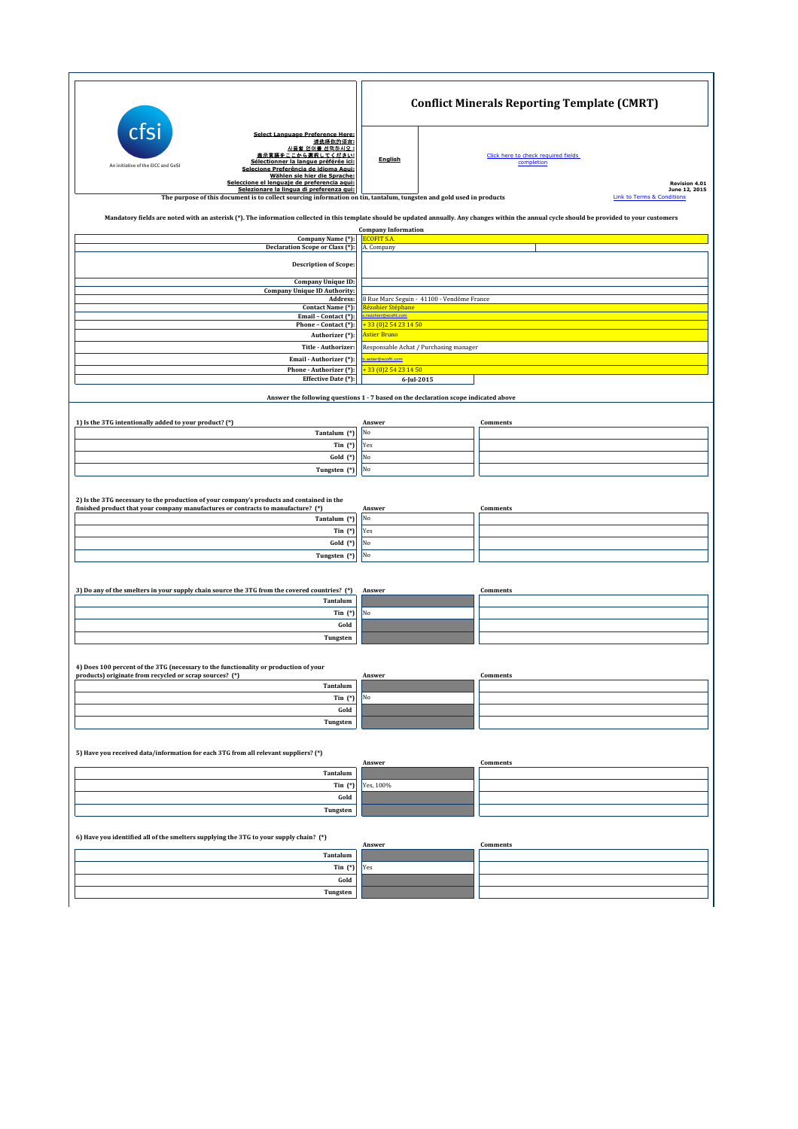|                                                                                                                                                                                                                                                                                                                                                      | <b>Conflict Minerals Reporting Template (CMRT)</b> |                                                                                            |  |  |
|------------------------------------------------------------------------------------------------------------------------------------------------------------------------------------------------------------------------------------------------------------------------------------------------------------------------------------------------------|----------------------------------------------------|--------------------------------------------------------------------------------------------|--|--|
| cts<br><b>Select Language Preference Here:</b><br>请选择你的语言:<br>사용할 언어를 선택하시오 :<br>表示言語をここから選択してください<br>Sélectionner la langue préférée ici:<br>An initiative of the EICC and GeSI<br>Selecione Preferência de idioma Aqui:<br>Wählen sie hier die Sprache:<br>Seleccione el lenguaje de preferencia aqui:<br>Selezionare la lingua di preferenza qui: | <b>English</b>                                     | Click here to check required fields<br>completion<br><b>Revision 4.01</b><br>June 12, 2015 |  |  |
| The purpose of this document is to collect sourcing information on tin, tantalum, tungsten and gold used in products                                                                                                                                                                                                                                 |                                                    | <b>Link to Terms &amp; Conditions</b>                                                      |  |  |
| Mandatory fields are noted with an asterisk (*). The information collected in this template should be updated annually. Any changes within the annual cycle should be provided to your customers                                                                                                                                                     |                                                    |                                                                                            |  |  |
| Company Name (*):                                                                                                                                                                                                                                                                                                                                    | <b>Company Information</b><br><b>COFIT S.A</b>     |                                                                                            |  |  |
| Declaration Scope or Class (*):                                                                                                                                                                                                                                                                                                                      | A. Company                                         |                                                                                            |  |  |
| <b>Description of Scope:</b>                                                                                                                                                                                                                                                                                                                         |                                                    |                                                                                            |  |  |
| <b>Company Unique ID:</b>                                                                                                                                                                                                                                                                                                                            |                                                    |                                                                                            |  |  |
| <b>Company Unique ID Authority:</b><br>Address:                                                                                                                                                                                                                                                                                                      | 8 Rue Marc Seguin - 41100 - Vendôme France         |                                                                                            |  |  |
| Contact Name (*):                                                                                                                                                                                                                                                                                                                                    | Rézohier Stéphane                                  |                                                                                            |  |  |
| Email - Contact (*):                                                                                                                                                                                                                                                                                                                                 | rohier@ecofit.com                                  |                                                                                            |  |  |
| Phone - Contact (*):<br>Authorizer (*):                                                                                                                                                                                                                                                                                                              | <b>Astier Bruno</b>                                | 33 (0) 2 54 23 14 50                                                                       |  |  |
| Title - Authorizer                                                                                                                                                                                                                                                                                                                                   | Responsable Achat / Purchasing manager             |                                                                                            |  |  |
| Email - Authorizer (*):                                                                                                                                                                                                                                                                                                                              | .astier@ecofit.com                                 |                                                                                            |  |  |
| Phone - Authorizer (*):                                                                                                                                                                                                                                                                                                                              | +33 (0) 254 23 14 50                               |                                                                                            |  |  |
| Effective Date (*):                                                                                                                                                                                                                                                                                                                                  | 6-Jul-2015                                         |                                                                                            |  |  |
|                                                                                                                                                                                                                                                                                                                                                      |                                                    | Answer the following questions 1 - 7 based on the declaration scope indicated above        |  |  |
|                                                                                                                                                                                                                                                                                                                                                      |                                                    |                                                                                            |  |  |
| 1) Is the 3TG intentionally added to your product? (*)                                                                                                                                                                                                                                                                                               | Answer                                             | <b>Comments</b>                                                                            |  |  |
| Tantalum (*)                                                                                                                                                                                                                                                                                                                                         | No                                                 |                                                                                            |  |  |
| Tin $(*)$                                                                                                                                                                                                                                                                                                                                            | Yes                                                |                                                                                            |  |  |
| Gold (*)                                                                                                                                                                                                                                                                                                                                             | No                                                 |                                                                                            |  |  |
| Tungsten (*)                                                                                                                                                                                                                                                                                                                                         | No                                                 |                                                                                            |  |  |
|                                                                                                                                                                                                                                                                                                                                                      |                                                    |                                                                                            |  |  |
| 2) Is the 3TG necessary to the production of your company's products and contained in the                                                                                                                                                                                                                                                            |                                                    |                                                                                            |  |  |
| finished product that your company manufactures or contracts to manufacture? (*)                                                                                                                                                                                                                                                                     | Answer                                             | Comments                                                                                   |  |  |
| Tantalum (*)                                                                                                                                                                                                                                                                                                                                         | No                                                 |                                                                                            |  |  |
| $\text{ Tin}$ $(*)$                                                                                                                                                                                                                                                                                                                                  | Yes                                                |                                                                                            |  |  |
| Gold (*)                                                                                                                                                                                                                                                                                                                                             | No<br>No                                           |                                                                                            |  |  |
| Tungsten (*)                                                                                                                                                                                                                                                                                                                                         |                                                    |                                                                                            |  |  |
|                                                                                                                                                                                                                                                                                                                                                      |                                                    |                                                                                            |  |  |
| 3) Do any of the smelters in your supply chain source the 3TG from the covered countries? (*)                                                                                                                                                                                                                                                        | Answer                                             | <b>Comments</b>                                                                            |  |  |
| Tantalum                                                                                                                                                                                                                                                                                                                                             |                                                    |                                                                                            |  |  |
| Tin $(*)$                                                                                                                                                                                                                                                                                                                                            | No                                                 |                                                                                            |  |  |
| Gold                                                                                                                                                                                                                                                                                                                                                 |                                                    |                                                                                            |  |  |
| Tungsten                                                                                                                                                                                                                                                                                                                                             |                                                    |                                                                                            |  |  |
|                                                                                                                                                                                                                                                                                                                                                      |                                                    |                                                                                            |  |  |
| 4) Does 100 percent of the 3TG (necessary to the functionality or production of your                                                                                                                                                                                                                                                                 |                                                    |                                                                                            |  |  |
| products) originate from recycled or scrap sources? (*)                                                                                                                                                                                                                                                                                              | Answer                                             | Comments                                                                                   |  |  |
| Tantalum                                                                                                                                                                                                                                                                                                                                             |                                                    |                                                                                            |  |  |
| Tin $(*)$                                                                                                                                                                                                                                                                                                                                            | No                                                 |                                                                                            |  |  |
| Gold                                                                                                                                                                                                                                                                                                                                                 |                                                    |                                                                                            |  |  |
| Tungsten                                                                                                                                                                                                                                                                                                                                             |                                                    |                                                                                            |  |  |
|                                                                                                                                                                                                                                                                                                                                                      |                                                    |                                                                                            |  |  |
| 5) Have you received data/information for each 3TG from all relevant suppliers? (*)                                                                                                                                                                                                                                                                  | Answer                                             | Comments                                                                                   |  |  |
| Tantalum                                                                                                                                                                                                                                                                                                                                             |                                                    |                                                                                            |  |  |
| Tin $(*)$                                                                                                                                                                                                                                                                                                                                            | Yes, 100%                                          |                                                                                            |  |  |
| Gold                                                                                                                                                                                                                                                                                                                                                 |                                                    |                                                                                            |  |  |
| Tungsten                                                                                                                                                                                                                                                                                                                                             |                                                    |                                                                                            |  |  |
|                                                                                                                                                                                                                                                                                                                                                      |                                                    |                                                                                            |  |  |
| 6) Have you identified all of the smelters supplying the 3TG to your supply chain? (*)                                                                                                                                                                                                                                                               |                                                    |                                                                                            |  |  |
| Tantalum                                                                                                                                                                                                                                                                                                                                             | Answer                                             | Comments                                                                                   |  |  |
| Tin $(*)$                                                                                                                                                                                                                                                                                                                                            | Yes                                                |                                                                                            |  |  |
| Gold                                                                                                                                                                                                                                                                                                                                                 |                                                    |                                                                                            |  |  |
| Tungsten                                                                                                                                                                                                                                                                                                                                             |                                                    |                                                                                            |  |  |
|                                                                                                                                                                                                                                                                                                                                                      |                                                    |                                                                                            |  |  |